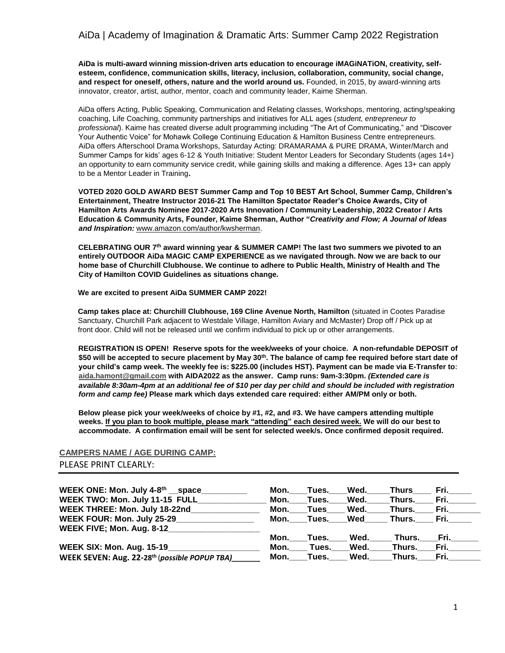**AiDa is multi-award winning mission-driven arts education to encourage iMAGiNATiON, creativity, selfesteem, confidence, communication skills, literacy, inclusion, collaboration, community, social change, and respect for oneself, others, nature and the world around us.** Founded, in 2015, by award-winning arts innovator, creator, artist, author, mentor, coach and community leader, Kaime Sherman.

AiDa offers Acting, Public Speaking, Communication and Relating classes, Workshops, mentoring, acting/speaking coaching, Life Coaching, community partnerships and initiatives for ALL ages (*student, entrepreneur to professional*). Kaime has created diverse adult programming including "The Art of Communicating," and "Discover Your Authentic Voice" for Mohawk College Continuing Education & Hamilton Business Centre entrepreneurs. AiDa offers Afterschool Drama Workshops, Saturday Acting: DRAMARAMA & PURE DRAMA, Winter/March and Summer Camps for kids' ages 6-12 & Youth Initiative: Student Mentor Leaders for Secondary Students (ages 14+) an opportunity to earn community service credit, while gaining skills and making a difference. Ages 13+ can apply to be a Mentor Leader in Training**.** 

**VOTED 2020 GOLD AWARD BEST Summer Camp and Top 10 BEST Art School, Summer Camp, Children's Entertainment, Theatre Instructor 2016-21 The Hamilton Spectator Reader's Choice Awards, City of Hamilton Arts Awards Nominee 2017-2020 Arts Innovation / Community Leadership, 2022 Creator / Arts Education & Community Arts, Founder, Kaime Sherman, Author "***Creativity and Flow; A Journal of Ideas and Inspiration:* [www.amazon.com/author/kwsherman.](http://www.amazon.com/author/kwsherman) 

**CELEBRATING OUR 7th award winning year & SUMMER CAMP! The last two summers we pivoted to an entirely OUTDOOR AiDa MAGIC CAMP EXPERIENCE as we navigated through. Now we are back to our home base of Churchill Clubhouse. We continue to adhere to Public Health, Ministry of Health and The City of Hamilton COVID Guidelines as situations change.**

**We are excited to present AiDa SUMMER CAMP 2022!**

**Camp takes place at: Churchill Clubhouse, 169 Cline Avenue North, Hamilton** (situated in Cootes Paradise Sanctuary, Churchill Park adjacent to Westdale Village, Hamilton Aviary and McMaster) Drop off / Pick up at front door. Child will not be released until we confirm individual to pick up or other arrangements.

**REGISTRATION IS OPEN! Reserve spots for the week/weeks of your choice. A non-refundable DEPOSIT of \$50 will be accepted to secure placement by May 30th. The balance of camp fee required before start date of your child's camp week. The weekly fee is: \$225.00 (includes HST). Payment can be made via E-Transfer to: [aida.hamont@gmail.com](mailto:aida.hamont@gmail.com) with AIDA2022 as the answer. Camp runs: 9am-3:30pm.** *(Extended care is available 8:30am-4pm at an additional fee of \$10 per day per child and should be included with registration form and camp fee)* **Please mark which days extended care required: either AM/PM only or both.**

**Below please pick your week/weeks of choice by #1, #2, and #3. We have campers attending multiple weeks. If you plan to book multiple, please mark "attending" each desired week. We will do our best to accommodate. A confirmation email will be sent for selected week/s. Once confirmed deposit required.** 

## **CAMPERS NAME / AGE DURING CAMP:**  PLEASE PRINT CLEARLY:

| WEEK ONE: Mon. July 4-8th __ space_           | Mon. | Tues. | Wed. | Thurs  | Fri. .          |
|-----------------------------------------------|------|-------|------|--------|-----------------|
| WEEK TWO: Mon. July 11-15 FULL                | Mon. | Tues. | Wed. | Thurs. | Fri. <b>Fri</b> |
| WEEK THREE: Mon. July 18-22nd                 | Mon. | Tues  | Wed. | Thurs. | Fri. I          |
| WEEK FOUR: Mon. July 25-29                    | Mon. | Tues. | Wed  | Thurs. | Fri. L          |
| WEEK FIVE; Mon. Aug. 8-12                     |      |       |      |        |                 |
|                                               | Mon. | Tues. | Wed. | Thurs. | Fri.            |
| <b>WEEK SIX: Mon. Aug. 15-19_</b>             | Mon. | Tues. | Wed. | Thurs. | Fri.            |
| WEEK SEVEN: Aug. 22-28th (possible POPUP TBA) | Mon. | Tues. | Wed. | Thurs. | Fri.            |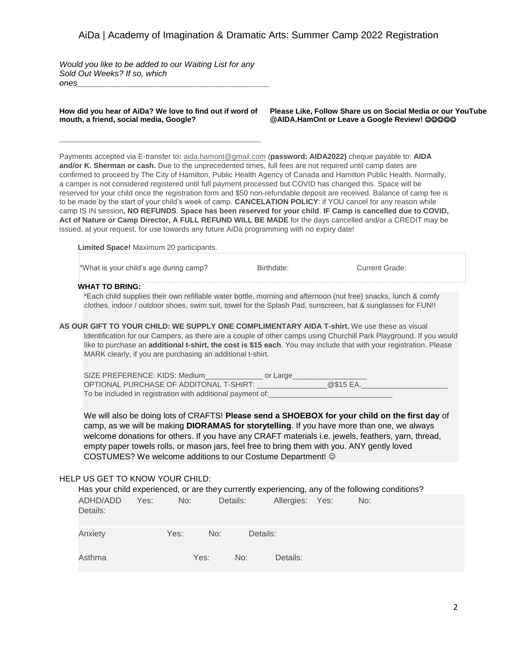*Would you like to be added to our Waiting List for any Sold Out Weeks? If so, which ones\_\_\_\_\_\_\_\_\_\_\_\_\_\_\_\_\_\_\_\_\_\_\_\_\_\_\_\_\_\_\_\_\_\_\_\_\_\_\_\_\_\_*

**How did you hear of AiDa? We love to find out if word of mouth, a friend, social media, Google?**

**\_\_\_\_\_\_\_\_\_\_\_\_\_\_\_\_\_\_\_\_\_\_\_\_\_\_\_\_\_\_\_\_\_\_\_\_\_\_\_\_\_\_\_\_**

**Please Like, Follow Share us on Social Media or our YouTube @AIDA.HamOnt or Leave a Google Review!**

Payments accepted via E-transfer to**:** aida.hamont@gmail.com (**password: AIDA2022)** cheque payable to: **AIDA and/or K. Sherman or cash.** Due to the unprecedented times, full fees are not required until camp dates are confirmed to proceed by The City of Hamilton, Public Health Agency of Canada and Hamilton Public Health. Normally, a camper is not considered registered until full payment processed but COVID has changed this. Space will be reserved for your child once the registration form and \$50 non-refundable deposit are received. Balance of camp fee is to be made by the start of your child's week of camp. **CANCELATION POLICY**: if YOU cancel for any reason while camp IS IN session**, NO REFUNDS**. **Space has been reserved for your child**. **IF Camp is cancelled due to COVID, Act of Nature or Camp Director, A FULL REFUND WILL BE MADE** for the days cancelled and/or a CREDIT may be issued, at your request, for use towards any future AiDa programming with no expiry date!

**Limited Space!** Maximum 20 participants. \*What is your child's age during camp? Birthdate: Current Grade:

**WHAT TO BRING:** 

\*Each child supplies their own refillable water bottle, morning and afternoon (nut free) snacks, lunch & comfy clothes, indoor / outdoor shoes, swim suit, towel for the Splash Pad, sunscreen, hat & sunglasses for FUN!!

**AS OUR GIFT TO YOUR CHILD: WE SUPPLY ONE COMPLIMENTARY AIDA T-shirt.** We use these as visual Identification for our Campers, as there are a couple of other camps using Churchill Park Playground. If you would like to purchase an **additional t-shirt, the cost is \$15 each**. You may include that with your registration. Please MARK clearly, if you are purchasing an additional t-shirt.

SIZE PREFERENCE: KIDS: Medium\_\_\_\_\_\_\_\_\_\_\_\_\_\_ or Large\_\_\_\_\_\_\_\_\_\_\_\_\_\_\_\_\_\_ OPTIONAL PURCHASE OF ADDITONAL T-SHIRT: To be included in registration with additional payment of:

We will also be doing lots of CRAFTS! **Please send a SHOEBOX for your child on the first day** of camp, as we will be making **DIORAMAS for storytelling**. If you have more than one, we always welcome donations for others. If you have any CRAFT materials i.e. jewels, feathers, yarn, thread, empty paper towels rolls, or mason jars, feel free to bring them with you. ANY gently loved COSTUMES? We welcome additions to our Costume Department!

#### HELP US GET TO KNOW YOUR CHILD:

|                      |      |      |      |          |                 | Has your child experienced, or are they currently experiencing, any of the following conditions? |  |
|----------------------|------|------|------|----------|-----------------|--------------------------------------------------------------------------------------------------|--|
| ADHD/ADD<br>Details: | Yes: | No:  |      | Details: | Allergies: Yes: | No:                                                                                              |  |
| Anxiety              |      | Yes: | No:  | Details: |                 |                                                                                                  |  |
| Asthma               |      |      | Yes: | No:      | Details:        |                                                                                                  |  |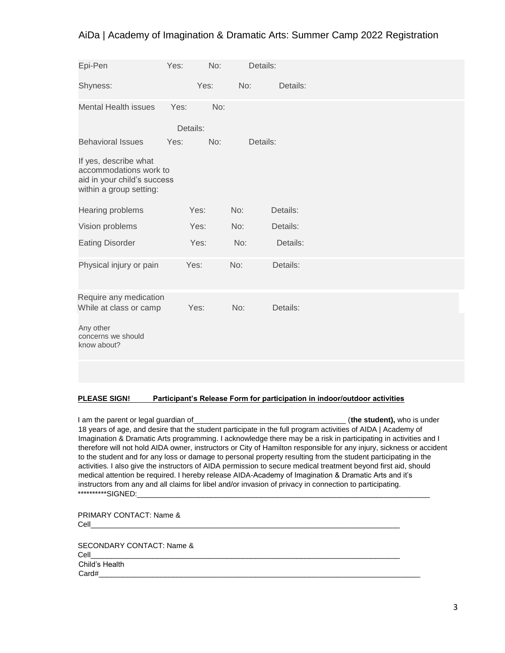| Epi-Pen                                                                                                   | Yes:     | No:  |     | Details: |
|-----------------------------------------------------------------------------------------------------------|----------|------|-----|----------|
| Shyness:                                                                                                  |          | Yes: | No: | Details: |
| <b>Mental Health issues</b>                                                                               | Yes:     | No:  |     |          |
|                                                                                                           | Details: |      |     |          |
| <b>Behavioral Issues</b>                                                                                  | Yes:     | No:  |     | Details: |
| If yes, describe what<br>accommodations work to<br>aid in your child's success<br>within a group setting: |          |      |     |          |
| Hearing problems                                                                                          |          | Yes: | No: | Details: |
| Vision problems                                                                                           |          | Yes: | No: | Details: |
| <b>Eating Disorder</b>                                                                                    |          | Yes: | No: | Details: |
| Physical injury or pain                                                                                   |          | Yes: | No: | Details: |
| Require any medication<br>While at class or camp                                                          |          | Yes: | No: | Details: |
| Any other<br>concerns we should<br>know about?                                                            |          |      |     |          |
|                                                                                                           |          |      |     |          |

### **PLEASE SIGN! Participant's Release Form for participation in indoor/outdoor activities**

I am the parent or legal guardian of the student), who is under 18 years of age, and desire that the student participate in the full program activities of AIDA | Academy of Imagination & Dramatic Arts programming. I acknowledge there may be a risk in participating in activities and I therefore will not hold AIDA owner, instructors or City of Hamilton responsible for any injury, sickness or accident to the student and for any loss or damage to personal property resulting from the student participating in the activities. I also give the instructors of AIDA permission to secure medical treatment beyond first aid, should medical attention be required. I hereby release AIDA-Academy of Imagination & Dramatic Arts and it's instructors from any and all claims for libel and/or invasion of privacy in connection to participating. \*\*\*\*\*\*\*\*\*\*SIGNED:\_

PRIMARY CONTACT: Name & Cell\_\_\_\_\_\_\_\_\_\_\_\_\_\_\_\_\_\_\_\_\_\_\_\_\_\_\_\_\_\_\_\_\_\_\_\_\_\_\_\_\_\_\_\_\_\_\_\_\_\_\_\_\_\_\_\_\_\_\_\_\_\_\_\_\_\_\_\_\_\_\_\_\_\_\_

SECONDARY CONTACT: Name & Cell\_\_\_\_\_\_\_\_\_\_\_\_\_\_\_\_\_\_\_\_\_\_\_\_\_\_\_\_\_\_\_\_\_\_\_\_\_\_\_\_\_\_\_\_\_\_\_\_\_\_\_\_\_\_\_\_\_\_\_\_\_\_\_\_\_\_\_\_\_\_\_\_\_\_\_ Child's Health Card#\_\_\_\_\_\_\_\_\_\_\_\_\_\_\_\_\_\_\_\_\_\_\_\_\_\_\_\_\_\_\_\_\_\_\_\_\_\_\_\_\_\_\_\_\_\_\_\_\_\_\_\_\_\_\_\_\_\_\_\_\_\_\_\_\_\_\_\_\_\_\_\_\_\_\_\_\_\_